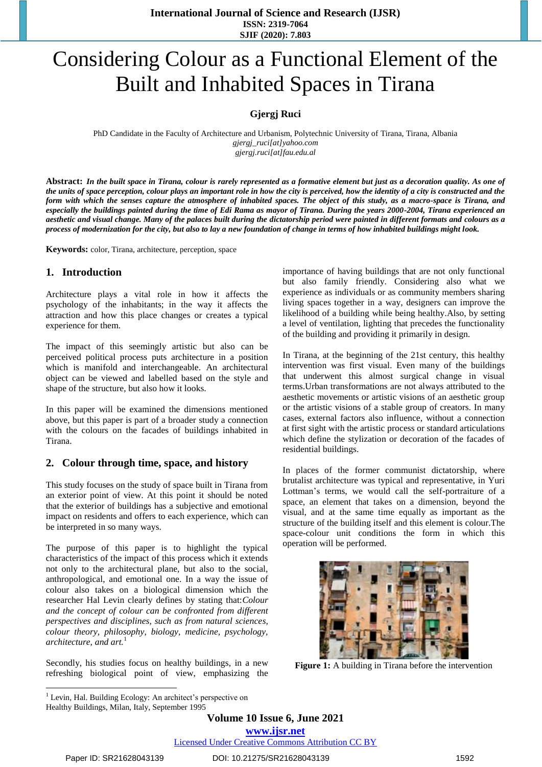# Considering Colour as a Functional Element of the Built and Inhabited Spaces in Tirana

#### **Gjergj Ruci**

PhD Candidate in the Faculty of Architecture and Urbanism, Polytechnic University of Tirana, Tirana, Albania *[gjergj\\_ruci\[at\]yahoo.com](mailto:gjergj_ruci@yahoo.com) [gjergj.ruci\[at\]fau.edu.al](mailto:gjergj.ruci@fau.edu.al)*

**Abstract:** *In the built space in Tirana, colour is rarely represented as a formative element but just as a decoration quality. As one of the units of space perception, colour plays an important role in how the city is perceived, how the identity of a city is constructed and the form with which the senses capture the atmosphere of inhabited spaces. The object of this study, as a macro-space is Tirana, and especially the buildings painted during the time of Edi Rama as mayor of Tirana. During the years 2000-2004, Tirana experienced an aesthetic and visual change. Many of the palaces built during the dictatorship period were painted in different formats and colours as a process of modernization for the city, but also to lay a new foundation of change in terms of how inhabited buildings might look.*

**Keywords:** color, Tirana, architecture, perception, space

#### **1. Introduction**

Architecture plays a vital role in how it affects the psychology of the inhabitants; in the way it affects the attraction and how this place changes or creates a typical experience for them.

The impact of this seemingly artistic but also can be perceived political process puts architecture in a position which is manifold and interchangeable. An architectural object can be viewed and labelled based on the style and shape of the structure, but also how it looks.

In this paper will be examined the dimensions mentioned above, but this paper is part of a broader study a connection with the colours on the facades of buildings inhabited in Tirana.

#### **2. Colour through time, space, and history**

This study focuses on the study of space built in Tirana from an exterior point of view. At this point it should be noted that the exterior of buildings has a subjective and emotional impact on residents and offers to each experience, which can be interpreted in so many ways.

The purpose of this paper is to highlight the typical characteristics of the impact of this process which it extends not only to the architectural plane, but also to the social, anthropological, and emotional one. In a way the issue of colour also takes on a biological dimension which the researcher Hal Levin clearly defines by stating that:*Colour and the concept of colour can be confronted from different perspectives and disciplines, such as from natural sciences, colour theory, philosophy, biology, medicine, psychology, architecture, and art.*<sup>1</sup>

Secondly, his studies focus on healthy buildings, in a new refreshing biological point of view, emphasizing the importance of having buildings that are not only functional but also family friendly. Considering also what we experience as individuals or as community members sharing living spaces together in a way, designers can improve the likelihood of a building while being healthy.Also, by setting a level of ventilation, lighting that precedes the functionality of the building and providing it primarily in design.

In Tirana, at the beginning of the 21st century, this healthy intervention was first visual. Even many of the buildings that underwent this almost surgical change in visual terms.Urban transformations are not always attributed to the aesthetic movements or artistic visions of an aesthetic group or the artistic visions of a stable group of creators. In many cases, external factors also influence, without a connection at first sight with the artistic process or standard articulations which define the stylization or decoration of the facades of residential buildings.

In places of the former communist dictatorship, where brutalist architecture was typical and representative, in Yuri Lottman"s terms, we would call the self-portraiture of a space, an element that takes on a dimension, beyond the visual, and at the same time equally as important as the structure of the building itself and this element is colour.The space-colour unit conditions the form in which this operation will be performed.



**Figure 1:** A building in Tirana before the intervention

**Volume 10 Issue 6, June 2021 www.ijsr.net**

Licensed Under Creative Commons Attribution CC BY

 $\overline{a}$  $<sup>1</sup>$  Levin, Hal. Building Ecology: An architect's perspective on</sup> Healthy Buildings, Milan, Italy, September 1995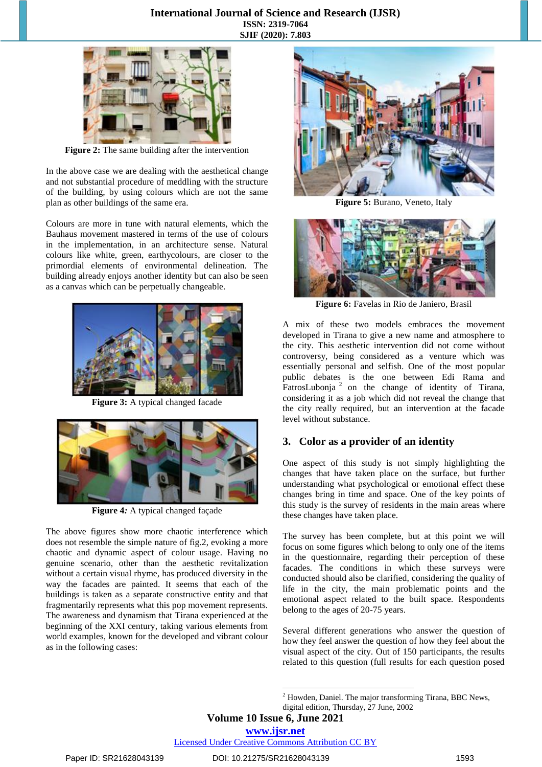#### **International Journal of Science and Research (IJSR) ISSN: 2319-7064 SJIF (2020): 7.803**



**Figure 2:** The same building after the intervention

In the above case we are dealing with the aesthetical change and not substantial procedure of meddling with the structure of the building, by using colours which are not the same plan as other buildings of the same era.

Colours are more in tune with natural elements, which the Bauhaus movement mastered in terms of the use of colours in the implementation, in an architecture sense. Natural colours like white, green, earthycolours, are closer to the primordial elements of environmental delineation. The building already enjoys another identity but can also be seen as a canvas which can be perpetually changeable.



**Figure 3:** A typical changed facade



**Figure 4***:* A typical changed façade

The above figures show more chaotic interference which does not resemble the simple nature of fig.2, evoking a more chaotic and dynamic aspect of colour usage. Having no genuine scenario, other than the aesthetic revitalization without a certain visual rhyme, has produced diversity in the way the facades are painted. It seems that each of the buildings is taken as a separate constructive entity and that fragmentarily represents what this pop movement represents. The awareness and dynamism that Tirana experienced at the beginning of the XXI century, taking various elements from world examples, known for the developed and vibrant colour as in the following cases:



**Figure 5:** Burano, Veneto, Italy



**Figure 6:** Favelas in Rio de Janiero, Brasil

A mix of these two models embraces the movement developed in Tirana to give a new name and atmosphere to the city. This aesthetic intervention did not come without controversy, being considered as a venture which was essentially personal and selfish. One of the most popular public debates is the one between Edi Rama and FatrosLubonja<sup>2</sup> on the change of identity of Tirana, considering it as a job which did not reveal the change that the city really required, but an intervention at the facade level without substance.

#### **3. Color as a provider of an identity**

One aspect of this study is not simply highlighting the changes that have taken place on the surface, but further understanding what psychological or emotional effect these changes bring in time and space. One of the key points of this study is the survey of residents in the main areas where these changes have taken place.

The survey has been complete, but at this point we will focus on some figures which belong to only one of the items in the questionnaire, regarding their perception of these facades. The conditions in which these surveys were conducted should also be clarified, considering the quality of life in the city, the main problematic points and the emotional aspect related to the built space. Respondents belong to the ages of 20-75 years.

Several different generations who answer the question of how they feel answer the question of how they feel about the visual aspect of the city. Out of 150 participants, the results related to this question (full results for each question posed

**Volume 10 Issue 6, June 2021**

1

Licensed Under Creative Commons Attribution CC BY

<sup>2</sup> Howden, Daniel. The major transforming Tirana, BBC News,

digital edition, Thursday, 27 June, 2002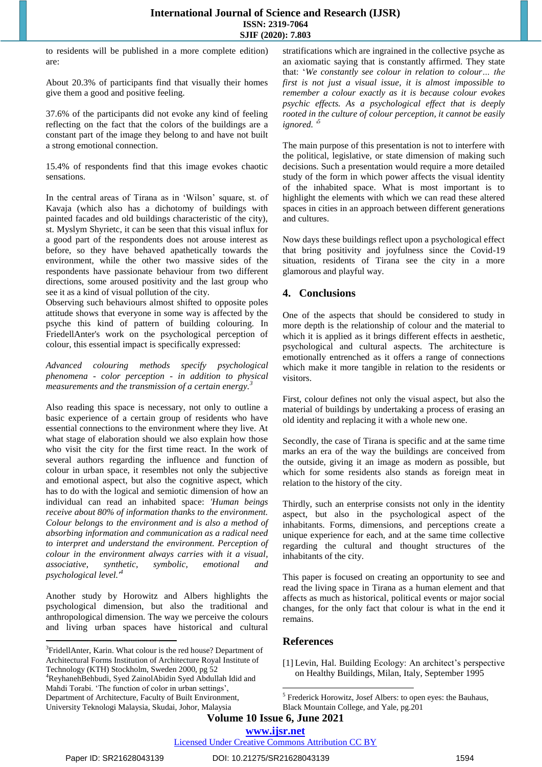to residents will be published in a more complete edition) are:

About 20.3% of participants find that visually their homes give them a good and positive feeling.

37.6% of the participants did not evoke any kind of feeling reflecting on the fact that the colors of the buildings are a constant part of the image they belong to and have not built a strong emotional connection.

15.4% of respondents find that this image evokes chaotic sensations.

In the central areas of Tirana as in "Wilson" square, st. of Kavaja (which also has a dichotomy of buildings with painted facades and old buildings characteristic of the city), st. Myslym Shyrietc, it can be seen that this visual influx for a good part of the respondents does not arouse interest as before, so they have behaved apathetically towards the environment, while the other two massive sides of the respondents have passionate behaviour from two different directions, some aroused positivity and the last group who see it as a kind of visual pollution of the city.

Observing such behaviours almost shifted to opposite poles attitude shows that everyone in some way is affected by the psyche this kind of pattern of building colouring. In FriedellAnter's work on the psychological perception of colour, this essential impact is specifically expressed:

*Advanced colouring methods specify psychological phenomena - color perception - in addition to physical measurements and the transmission of a certain energy.<sup>3</sup>*

Also reading this space is necessary, not only to outline a basic experience of a certain group of residents who have essential connections to the environment where they live. At what stage of elaboration should we also explain how those who visit the city for the first time react. In the work of several authors regarding the influence and function of colour in urban space, it resembles not only the subjective and emotional aspect, but also the cognitive aspect, which has to do with the logical and semiotic dimension of how an individual can read an inhabited space: *'Human beings receive about 80% of information thanks to the environment. Colour belongs to the environment and is also a method of absorbing information and communication as a radical need to interpret and understand the environment. Perception of colour in the environment always carries with it a visual, associative, synthetic, symbolic, emotional and psychological level.'<sup>4</sup>*

Another study by Horowitz and Albers highlights the psychological dimension, but also the traditional and anthropological dimension. The way we perceive the colours and living urban spaces have historical and cultural

stratifications which are ingrained in the collective psyche as an axiomatic saying that is constantly affirmed. They state that: "*We constantly see colour in relation to colour… the first is not just a visual issue, it is almost impossible to remember a colour exactly as it is because colour evokes psychic effects. As a psychological effect that is deeply rooted in the culture of colour perception, it cannot be easily ignored. '<sup>5</sup>*

The main purpose of this presentation is not to interfere with the political, legislative, or state dimension of making such decisions. Such a presentation would require a more detailed study of the form in which power affects the visual identity of the inhabited space. What is most important is to highlight the elements with which we can read these altered spaces in cities in an approach between different generations and cultures.

Now days these buildings reflect upon a psychological effect that bring positivity and joyfulness since the Covid-19 situation, residents of Tirana see the city in a more glamorous and playful way.

# **4. Conclusions**

One of the aspects that should be considered to study in more depth is the relationship of colour and the material to which it is applied as it brings different effects in aesthetic, psychological and cultural aspects. The architecture is emotionally entrenched as it offers a range of connections which make it more tangible in relation to the residents or visitors.

First, colour defines not only the visual aspect, but also the material of buildings by undertaking a process of erasing an old identity and replacing it with a whole new one.

Secondly, the case of Tirana is specific and at the same time marks an era of the way the buildings are conceived from the outside, giving it an image as modern as possible, but which for some residents also stands as foreign meat in relation to the history of the city.

Thirdly, such an enterprise consists not only in the identity aspect, but also in the psychological aspect of the inhabitants. Forms, dimensions, and perceptions create a unique experience for each, and at the same time collective regarding the cultural and thought structures of the inhabitants of the city.

This paper is focused on creating an opportunity to see and read the living space in Tirana as a human element and that affects as much as historical, political events or major social changes, for the only fact that colour is what in the end it remains.

## **References**

[1] Levin, Hal. Building Ecology: An architect's perspective on Healthy Buildings, Milan, Italy, September 1995

1

 $\overline{a}$ 

<sup>&</sup>lt;sup>3</sup>FridellAnter, Karin. What colour is the red house? Department of Architectural Forms Institution of Architecture Royal Institute of Technology (KTH) Stockholm, Sweden 2000, pg 52 <sup>4</sup>ReyhanehBehbudi, Syed ZainolAbidin Syed Abdullah Idid and Mahdi Torabi. "The function of color in urban settings", Department of Architecture, Faculty of Built Environment, University Teknologi Malaysia, Skudai, Johor, Malaysia

<sup>&</sup>lt;sup>5</sup> Frederick Horowitz, Josef Albers: to open eyes: the Bauhaus, Black Mountain College, and Yale, pg.201